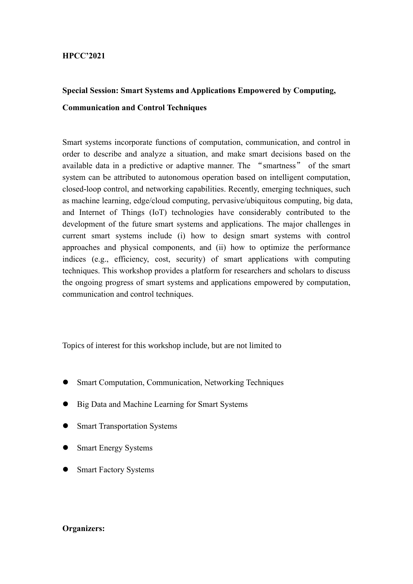#### **HPCC'2021**

# **Special Session: Smart Systems and Applications Empowered by Computing, Communication and Control Techniques**

Smart systems incorporate functions of computation, communication, and control in order to describe and analyze a situation, and make smart decisions based on the available data in a predictive or adaptive manner. The "smartness" of the smart system can be attributed to autonomous operation based on intelligent computation, closed-loop control, and networking capabilities. Recently, emerging techniques, such as machine learning, edge/cloud computing, pervasive/ubiquitous computing, big data, and Internet of Things (IoT) technologies have considerably contributed to the development of the future smart systems and applications. The major challenges in current smart systems include (i) how to design smart systems with control approaches and physical components, and (ii) how to optimize the performance indices (e.g., efficiency, cost, security) of smart applications with computing techniques. This workshop provides a platform for researchers and scholars to discuss the ongoing progress of smart systems and applications empowered by computation, communication and control techniques.

Topics of interest for this workshop include, but are not limited to

- ⚫ Smart Computation, Communication, Networking Techniques
- ⚫ Big Data and Machine Learning for Smart Systems
- ⚫ Smart Transportation Systems
- ⚫ Smart Energy Systems
- ⚫ Smart Factory Systems

#### **Organizers:**